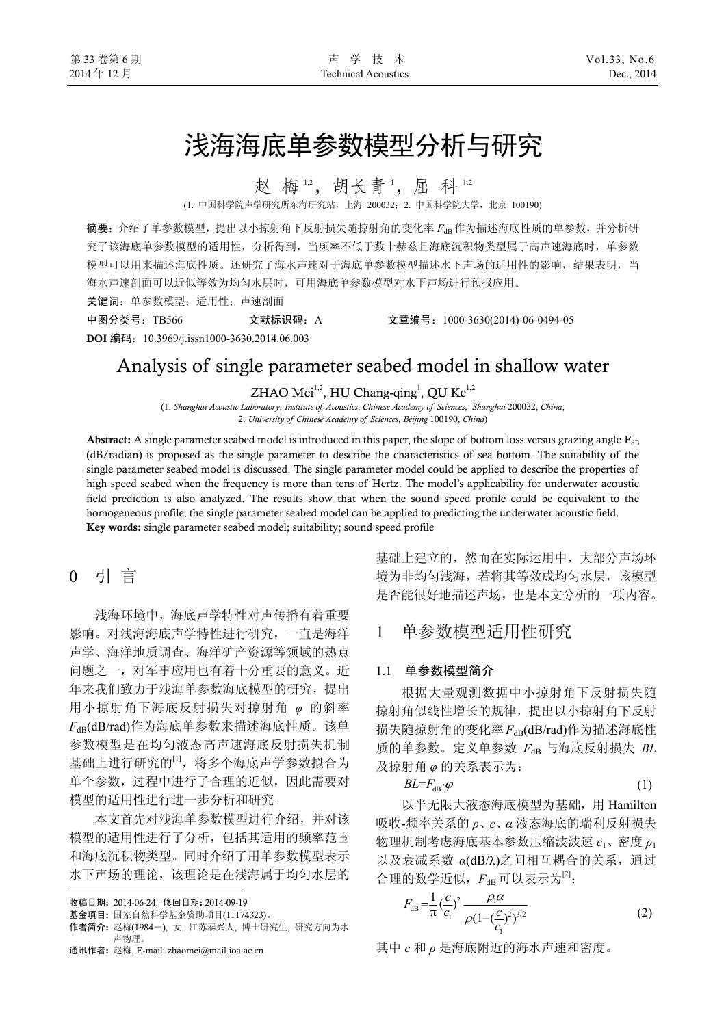# 浅海海底单参数模型分析与研究

赵梅12,胡长青1,屈科12

(1. 中国科学院声学研究所东海研究站,上海 200032;2. 中国科学院大学,北京 100190)

摘要: 介绍了单参数模型,提出以小掠射角下反射损失随掠射角的变化率  $F_{dR}$ 作为描述海底性质的单参数,并分析研 究了该海底单参数模型的适用性,分析得到,当频率不低于数十赫兹且海底沉积物类型属于高声速海底时,单参数 模型可以用来描述海底性质。还研究了海水声速对于海底单参数模型描述水下声场的适用性的影响,结果表明,当 海水声速剖面可以近似等效为均匀水层时,可用海底单参数模型对水下声场进行预报应用。

关键词:单参数模型;适用性;声速剖面

中图分类号:TB566 文献标识码:A 文章编号:1000-3630(2014)-06-0494-05

**DOI** 编码:10.3969/j.issn1000-3630.2014.06.003

## Analysis of single parameter seabed model in shallow water

ZHAO Mei<sup>1,2</sup>, HU Chang-qing<sup>1</sup>, QU Ke<sup>1,2</sup>

(1. *Shanghai Acoustic Laboratory*, *Institute of Acoustics*, *Chinese Academy of Sciences*, *Shanghai* 200032, *China*; 2. *University of Chinese Academy of Sciences*, *Beijing* 100190, *China*)

Abstract: A single parameter seabed model is introduced in this paper, the slope of bottom loss versus grazing angle  $F_{dB}$ (dB/radian) is proposed as the single parameter to describe the characteristics of sea bottom. The suitability of the single parameter seabed model is discussed. The single parameter model could be applied to describe the properties of high speed seabed when the frequency is more than tens of Hertz. The model's applicability for underwater acoustic field prediction is also analyzed. The results show that when the sound speed profile could be equivalent to the homogeneous profile, the single parameter seabed model can be applied to predicting the underwater acoustic field. Key words: single parameter seabed model; suitability; sound speed profile

0 引 言

浅海环境中,海底声学特性对声传播有着重要 影响。对浅海海底声学特性进行研究,一直是海洋 声学、海洋地质调查、海洋矿产资源等领域的热点 问题之一,对军事应用也有着十分重要的意义。近 年来我们致力于浅海单参数海底模型的研究,提出 用小掠射角下海底反射损失对掠射角 *φ* 的斜率 *F*dB(dB/rad)作为海底单参数来描述海底性质。该单 参数模型是在均匀液态高声速海底反射损失机制 基础上进行研究的<sup>[1]</sup>,将多个海底声学参数拟合为 单个参数,过程中进行了合理的近似,因此需要对 模型的适用性进行进一步分析和研究。

本文首先对浅海单参数模型进行介绍,并对该 模型的适用性进行了分析,包括其适用的频率范围 和海底沉积物类型。同时介绍了用单参数模型表示 水下声场的理论,该理论是在浅海属于均匀水层的

 $\overline{a}$ 收稿日期: 2014-06-24; 修回日期: 2014-09-19

基金项目: 国家自然科学基金资助项目(11174323)。

基础上建立的,然而在实际运用中,大部分声场环 境为非均匀浅海,若将其等效成均匀水层,该模型 是否能很好地描述声场,也是本文分析的一项内容。

### 1 单参数模型适用性研究

### 1.1 单参数模型简介

根据大量观测数据中小掠射角下反射损失随 掠射角似线性增长的规律,提出以小掠射角下反射 损失随掠射角的变化率  $F_{dB}$ (dB/rad)作为描述海底性 质的单参数。定义单参数 *F*dB 与海底反射损失 *BL* 及掠射角 *φ* 的关系表示为:

 $BL = F_{\text{ab}} \cdot \varphi$  (1)

以半无限大液态海底模型为基础,用 Hamilton 吸收-频率关系的 *ρ*、*c*、*α* 液态海底的瑞利反射损失 物理机制考虑海底基本参数压缩波波速 *c*1、密度 *ρ*<sup>1</sup> 以及衰减系数 *α*(dB/λ)之间相互耦合的关系,通过 合理的数学近似, $F_{\text{dR}}$ 可以表示为 $^{[2]}$ :

$$
F_{\text{dB}} = \frac{1}{\pi} \left(\frac{c}{c_1}\right)^2 \frac{\rho_1 \alpha}{\rho (1 - \left(\frac{c}{c_1}\right)^2)^{3/2}} \tag{2}
$$

其中 *c* 和 *ρ* 是海底附近的海水声速和密度。

作者简介: 赵梅(1984-), 女, 江苏泰兴人, 博士研究生, 研究方向为水 声物理。

通讯作者: 赵梅, E-mail: zhaomei@mail.ioa.ac.cn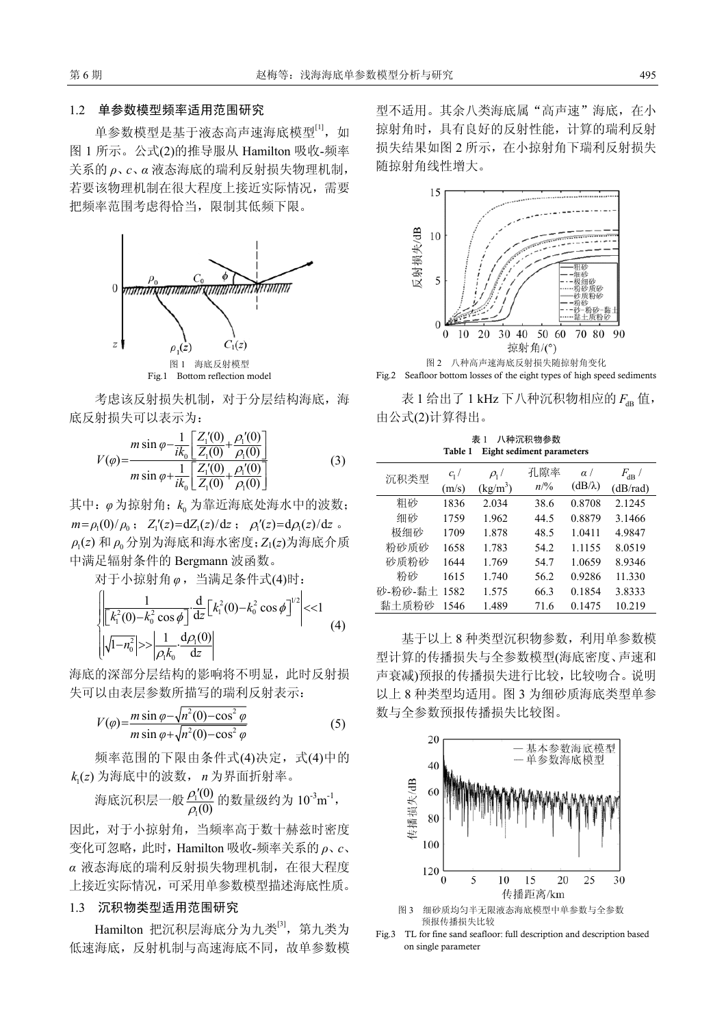#### 1.2 单参数模型频率适用范围研究

单参数模型是基于液态高声速海底模型[1], 如 图 1 所示。公式(2)的推导服从 Hamilton 吸收-频率 关系的 *ρ*、*c*、*α* 液态海底的瑞利反射损失物理机制, 若要该物理机制在很大程度上接近实际情况,需要 把频率范围考虑得恰当,限制其低频下限。



考虑该反射损失机制,对于分层结构海底,海 底反射损失可以表示为:

$$
V(\varphi) = \frac{m \sin \varphi - \frac{1}{ik_0} \left[ \frac{Z_1'(0)}{Z_1(0)} + \frac{\rho_1'(0)}{\rho_1(0)} \right]}{m \sin \varphi + \frac{1}{ik_0} \left[ \frac{Z_1'(0)}{Z_1(0)} + \frac{\rho_1'(0)}{\rho_1(0)} \right]}
$$
(3)

其中: φ为掠射角; k<sub>a</sub>为靠近海底处海水中的波数;  $m = \rho_1(0)/\rho_0$ ;  $Z'_1(z) = dZ_1(z)/dz$ ;  $\rho'_1(z) = d\rho_1(z)/dz$ .  $\rho_0(z)$ 和 $\rho_0$ 分别为海底和海水密度; Z<sub>1</sub>(z)为海底介质 中满足辐射条件的 Bergmann 波函数。

对于小掠射角 *φ*, 当满足条件式 (4)时:

$$
\begin{cases} \left| \frac{1}{\left[k_1^2(0) - k_0^2 \cos \phi\right]} \frac{d}{dz} \left[k_1^2(0) - k_0^2 \cos \phi\right]^{1/2} \right| < 1\\ \left| \sqrt{1 - n_0^2} \right| > \left| \frac{1}{\rho_1 k_0} \frac{d \rho_1(0)}{dz} \right| \end{cases} \tag{4}
$$

海底的深部分层结构的影响将不明显,此时反射损 失可以由表层参数所描写的瑞利反射表示:

$$
V(\varphi) = \frac{m \sin \varphi - \sqrt{n^2(0) - \cos^2 \varphi}}{m \sin \varphi + \sqrt{n^2(0) - \cos^2 \varphi}}
$$
(5)

频率范围的下限由条件式(4)决定,式(4)中的  $k_i(z)$  为海底中的波数,  $n$  为界面折射率。

海成派視是一般 
$$
\frac{\rho_1'(0)}{\rho_1(0)}
$$
的数量級的为 10<sup>-3</sup>m<sup>-1</sup>,

因此,对于小掠射角,当频率高于数十赫兹时密度 变化可忽略,此时,Hamilton 吸收-频率关系的 *ρ*、*c*、 *α* 液态海底的瑞利反射损失物理机制,在很大程度 上接近实际情况,可采用单参数模型描述海底性质。

### 1.3 沉积物类型适用范围研究

Hamilton 把沉积层海底分为九类<sup>[3]</sup>, 第九类为 低速海底,反射机制与高速海底不同,故单参数模 型不适用。其余八类海底属"高声速"海底,在小 掠射角时,具有良好的反射性能,计算的瑞利反射 损失结果如图 2 所示,在小掠射角下瑞利反射损失 随掠射角线性增大。





表 1 给出了 1 kHz 下八种沉积物相应的  $F_{\text{dB}}$  值, 由公式(2)计算得出。

表 1 八种沉积物参数 Table 1 Eight sediment parameters

| 沉积类型    | $c1$ /<br>(m/s) | $\rho_1$ /<br>$(kg/m^3)$ | 孔隙率<br>$n\frac{9}{6}$ | $\alpha$ /<br>$(dB/\lambda)$ | $F_{\rm dB}$ /<br>(dB/rad) |
|---------|-----------------|--------------------------|-----------------------|------------------------------|----------------------------|
| 粗砂      | 1836            | 2.034                    | 38.6                  | 0.8708                       | 2.1245                     |
| 细砂      | 1759            | 1.962                    | 44.5                  | 0.8879                       | 3.1466                     |
| 极细砂     | 1709            | 1.878                    | 48.5                  | 1.0411                       | 4.9847                     |
| 粉砂质砂    | 1658            | 1.783                    | 54.2                  | 1.1155                       | 8.0519                     |
| 砂质粉砂    | 1644            | 1.769                    | 54.7                  | 1.0659                       | 8.9346                     |
| 粉砂      | 1615            | 1.740                    | 56.2                  | 0.9286                       | 11.330                     |
| 砂-粉砂-黏土 | 1582            | 1.575                    | 66.3                  | 0.1854                       | 3.8333                     |
| 黏土质粉砂   | 1546            | 1.489                    | 71.6                  | 0.1475                       | 10.219                     |

基于以上 8 种类型沉积物参数,利用单参数模 型计算的传播损失与全参数模型(海底密度、声速和 声衰减)预报的传播损失进行比较,比较吻合。说明 以上 8 种类型均适用。图 3 为细砂质海底类型单参 数与全参数预报传播损失比较图。



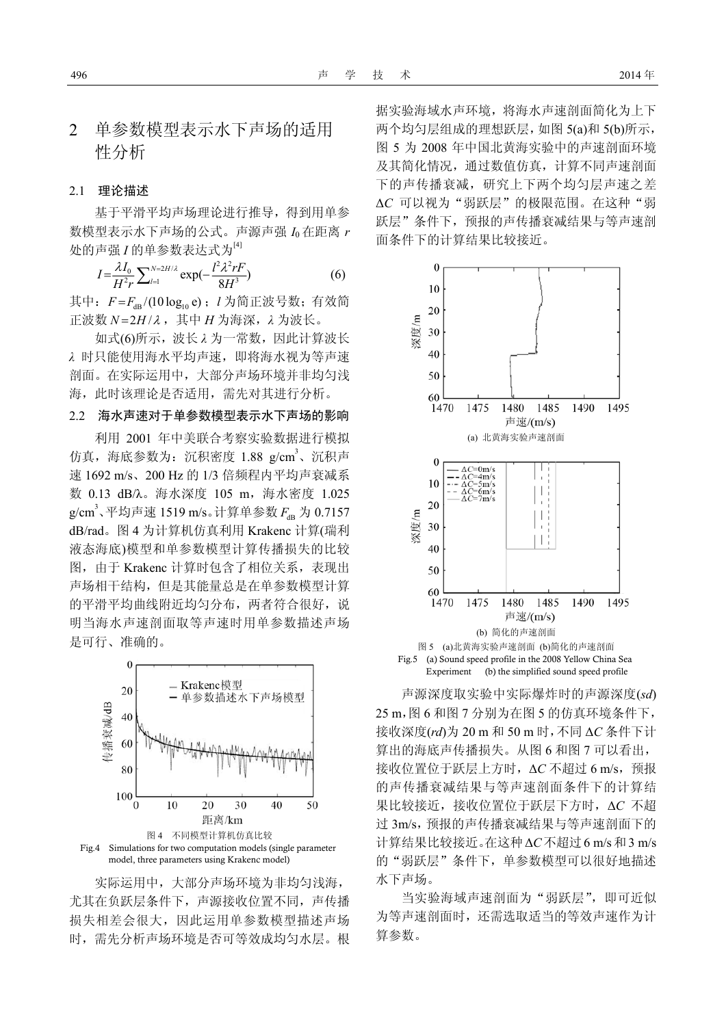### 2 单参数模型表示水下声场的适用 性分析

### 2.1 理论描述

基于平滑平均声场理论进行推导,得到用单参 数模型表示水下声场的公式。声源声强 *I*<sup>0</sup> 在距离 *r* 处的声强 *I* 的单参数表达式为<sup>[4]</sup>

$$
I = \frac{\lambda I_0}{H^2 r} \sum_{l=1}^{N=2H/\lambda} \exp(-\frac{l^2 \lambda^2 rF}{8H^3})
$$
 (6)

其中:  $F$ = $F_{\rm dB}$ /(10 log<sub>10</sub> e); *l* 为简正波号数; 有效简 正波数 *N*=2*H* /λ, 其中 *H* 为海深, λ 为波长。

如式(6)所示,波长 *λ* 为一常数,因此计算波长 *λ* 时只能使用海水平均声速,即将海水视为等声速 剖面。在实际运用中,大部分声场环境并非均匀浅 海,此时该理论是否适用,需先对其进行分析。

### 2.2 海水声速对于单参数模型表示水下声场的影响

利用 2001 年中美联合考察实验数据进行模拟 仿真, 海底参数为: 沉积密度 1.88 g/cm<sup>3</sup>、沉积声 速 1692 m/s、200 Hz 的 1/3 倍频程内平均声衰减系 数 0.13 dB/λ。海水深度 105 m,海水密度 1.025 g/cm<sup>3</sup>、平均声速 1519 m/s。计算单参数  $F_{\text{dB}}$  为 0.7157 dB/rad。图 4 为计算机仿真利用 Krakenc 计算(瑞利 液态海底)模型和单参数模型计算传播损失的比较 图, 由于 Krakenc 计算时包含了相位关系, 表现出 声场相干结构,但是其能量总是在单参数模型计算 的平滑平均曲线附近均匀分布,两者符合很好,说 明当海水声速剖面取等声速时用单参数描述声场 是可行、准确的。



model, three parameters using Krakenc model)

实际运用中,大部分声场环境为非均匀浅海, 尤其在负跃层条件下,声源接收位置不同,声传播 损失相差会很大,因此运用单参数模型描述声场 时,需先分析声场环境是否可等效成均匀水层。根 据实验海域水声环境,将海水声速剖面简化为上下 两个均匀层组成的理想跃层,如图 5(a)和 5(b)所示, 图 5 为 2008 年中国北黄海实验中的声速剖面环境 及其简化情况,通过数值仿真,计算不同声速剖面 下的声传播衰减,研究上下两个均匀层声速之差 Δ*C* 可以视为"弱跃层"的极限范围。在这种"弱 跃层"条件下,预报的声传播衰减结果与等声速剖 面条件下的计算结果比较接近。



声源深度取实验中实际爆炸时的声源深度(*sd*) 25 m,图 6 和图 7 分别为在图 5 的仿真环境条件下, 接收深度(*rd*)为 20 m 和 50 m 时,不同 Δ*C* 条件下计 算出的海底声传播损失。从图 6 和图 7 可以看出, 接收位置位于跃层上方时, ΔC 不超过 6 m/s, 预报 的声传播衰减结果与等声速剖面条件下的计算结 果比较接近,接收位置位于跃层下方时,Δ*C* 不超 过 3m/s,预报的声传播衰减结果与等声速剖面下的 计算结果比较接近。在这种Δ*C*不超过6 m/s和3 m/s 的"弱跃层"条件下,单参数模型可以很好地描述 水下声场。

当实验海域声速剖面为"弱跃层",即可近似 为等声速剖面时,还需选取适当的等效声速作为计 算参数。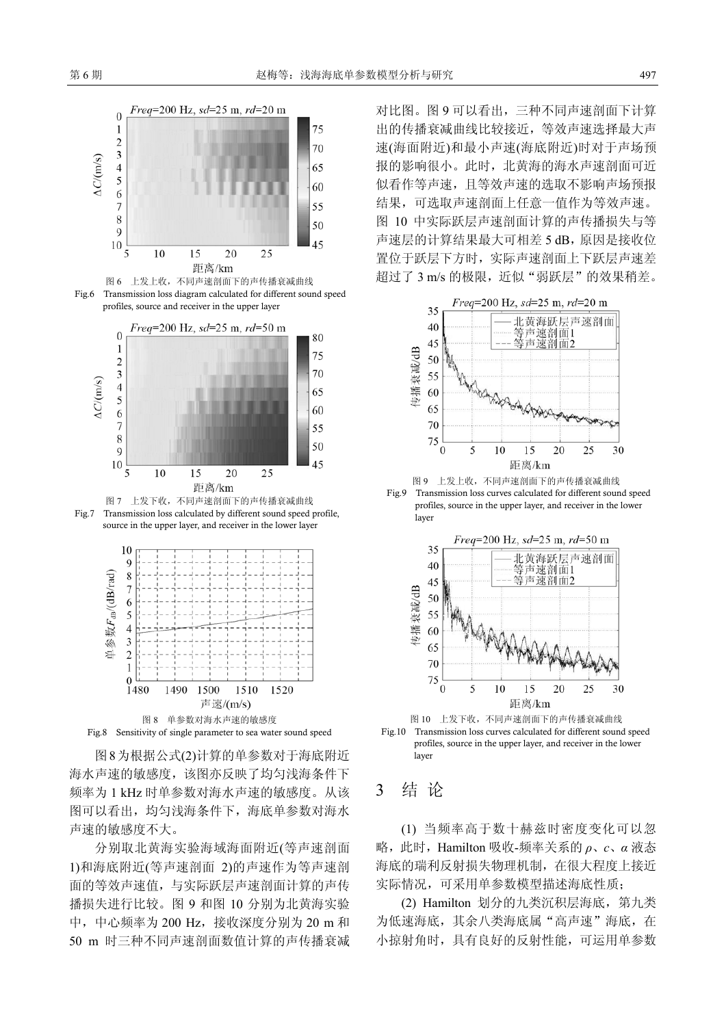









图8为根据公式(2)计算的单参数对于海底附近

海水声速的敏感度,该图亦反映了均匀浅海条件下 频率为 1 kHz 时单参数对海水声速的敏感度。从该 图可以看出,均匀浅海条件下,海底单参数对海水 声速的敏感度不大。

分别取北黄海实验海域海面附近(等声速剖面 1)和海底附近(等声速剖面 2)的声速作为等声速剖 面的等效声速值,与实际跃层声速剖面计算的声传 播损失进行比较。图 9 和图 10 分别为北黄海实验 中,中心频率为 200 Hz,接收深度分别为 20 m 和 50 m 时三种不同声速剖面数值计算的声传播衰减 对比图。图 9 可以看出,三种不同声速剖面下计算 出的传播衰减曲线比较接近,等效声速选择最大声 速(海面附近)和最小声速(海底附近)时对于声场预 报的影响很小。此时,北黄海的海水声速剖面可近 似看作等声速,且等效声速的选取不影响声场预报 结果,可选取声速剖面上任意一值作为等效声速。 图 10 中实际跃层声速剖面计算的声传播损失与等 声速层的计算结果最大可相差 5 dB, 原因是接收位 置位于跃层下方时,实际声速剖面上下跃层声速差 超过了 3 m/s 的极限, 近似"弱跃层"的效果稍差。



图 9 上发上收,不同声速剖面下的声传播衰减曲线 Fig.9 Transmission loss curves calculated for different sound speed profiles, source in the upper layer, and receiver in the lower layer



图 10 上发下收,不同声速剖面下的声传播衰减曲线 Fig.10 Transmission loss curves calculated for different sound speed profiles, source in the upper layer, and receiver in the lower layer

### 3 结 论

(1) 当频率高于数十赫兹时密度变化可以忽 略,此时,Hamilton 吸收-频率关系的 *ρ*、*c*、*α* 液态 海底的瑞利反射损失物理机制,在很大程度上接近 实际情况,可采用单参数模型描述海底性质;

(2) Hamilton 划分的九类沉积层海底,第九类 为低速海底,其余八类海底属"高声速"海底,在 小掠射角时,具有良好的反射性能,可运用单参数